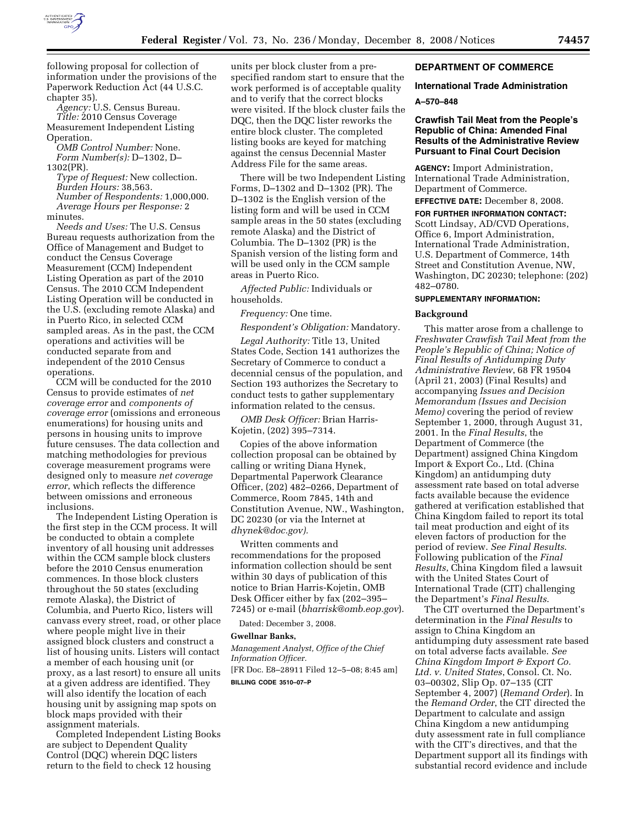

following proposal for collection of information under the provisions of the Paperwork Reduction Act (44 U.S.C. chapter 35).

*Agency:* U.S. Census Bureau. *Title:* 2010 Census Coverage Measurement Independent Listing Operation.

*OMB Control Number:* None. *Form Number(s):* D–1302, D– 1302(PR).

*Type of Request:* New collection. *Burden Hours:* 38,563. *Number of Respondents:* 1,000,000. *Average Hours per Response:* 2 minutes.

*Needs and Uses:* The U.S. Census Bureau requests authorization from the Office of Management and Budget to conduct the Census Coverage Measurement (CCM) Independent Listing Operation as part of the 2010 Census. The 2010 CCM Independent Listing Operation will be conducted in the U.S. (excluding remote Alaska) and in Puerto Rico, in selected CCM sampled areas. As in the past, the CCM operations and activities will be conducted separate from and independent of the 2010 Census operations.

CCM will be conducted for the 2010 Census to provide estimates of *net coverage error* and *components of coverage error* (omissions and erroneous enumerations) for housing units and persons in housing units to improve future censuses. The data collection and matching methodologies for previous coverage measurement programs were designed only to measure *net coverage error*, which reflects the difference between omissions and erroneous inclusions.

The Independent Listing Operation is the first step in the CCM process. It will be conducted to obtain a complete inventory of all housing unit addresses within the CCM sample block clusters before the 2010 Census enumeration commences. In those block clusters throughout the 50 states (excluding remote Alaska), the District of Columbia, and Puerto Rico, listers will canvass every street, road, or other place where people might live in their assigned block clusters and construct a list of housing units. Listers will contact a member of each housing unit (or proxy, as a last resort) to ensure all units at a given address are identified. They will also identify the location of each housing unit by assigning map spots on block maps provided with their assignment materials.

Completed Independent Listing Books are subject to Dependent Quality Control (DQC) wherein DQC listers return to the field to check 12 housing

units per block cluster from a prespecified random start to ensure that the work performed is of acceptable quality and to verify that the correct blocks were visited. If the block cluster fails the DQC, then the DQC lister reworks the entire block cluster. The completed listing books are keyed for matching against the census Decennial Master Address File for the same areas.

There will be two Independent Listing Forms, D–1302 and D–1302 (PR). The D–1302 is the English version of the listing form and will be used in CCM sample areas in the 50 states (excluding remote Alaska) and the District of Columbia. The D–1302 (PR) is the Spanish version of the listing form and will be used only in the CCM sample areas in Puerto Rico.

*Affected Public:* Individuals or households.

# *Frequency:* One time.

*Respondent's Obligation:* Mandatory.

*Legal Authority:* Title 13, United States Code, Section 141 authorizes the Secretary of Commerce to conduct a decennial census of the population, and Section 193 authorizes the Secretary to conduct tests to gather supplementary information related to the census.

*OMB Desk Officer:* Brian Harris-Kojetin, (202) 395–7314.

Copies of the above information collection proposal can be obtained by calling or writing Diana Hynek, Departmental Paperwork Clearance Officer, (202) 482–0266, Department of Commerce, Room 7845, 14th and Constitution Avenue, NW., Washington, DC 20230 (or via the Internet at *dhynek@doc.gov).* 

Written comments and recommendations for the proposed information collection should be sent within 30 days of publication of this notice to Brian Harris-Kojetin, OMB Desk Officer either by fax (202–395– 7245) or e-mail (*bharrisk@omb.eop.gov*).

Dated: December 3, 2008.

#### **Gwellnar Banks,**

*Management Analyst, Office of the Chief Information Officer.* 

[FR Doc. E8–28911 Filed 12–5–08; 8:45 am] **BILLING CODE 3510–07–P** 

# **DEPARTMENT OF COMMERCE**

## **International Trade Administration**

#### **A–570–848**

# **Crawfish Tail Meat from the People's Republic of China: Amended Final Results of the Administrative Review Pursuant to Final Court Decision**

**AGENCY:** Import Administration, International Trade Administration, Department of Commerce.

**EFFECTIVE DATE:** December 8, 2008. **FOR FURTHER INFORMATION CONTACT:**  Scott Lindsay, AD/CVD Operations, Office 6, Import Administration, International Trade Administration, U.S. Department of Commerce, 14th Street and Constitution Avenue, NW, Washington, DC 20230; telephone: (202) 482–0780.

### **SUPPLEMENTARY INFORMATION:**

### **Background**

This matter arose from a challenge to *Freshwater Crawfish Tail Meat from the People's Republic of China; Notice of Final Results of Antidumping Duty Administrative Review*, 68 FR 19504 (April 21, 2003) (Final Results) and accompanying *Issues and Decision Memorandum (Issues and Decision Memo)* covering the period of review September 1, 2000, through August 31, 2001. In the *Final Results*, the Department of Commerce (the Department) assigned China Kingdom Import & Export Co., Ltd. (China Kingdom) an antidumping duty assessment rate based on total adverse facts available because the evidence gathered at verification established that China Kingdom failed to report its total tail meat production and eight of its eleven factors of production for the period of review. *See Final Results*. Following publication of the *Final Results*, China Kingdom filed a lawsuit with the United States Court of International Trade (CIT) challenging the Department's *Final Results*.

The CIT overturned the Department's determination in the *Final Results* to assign to China Kingdom an antidumping duty assessment rate based on total adverse facts available. *See China Kingdom Import & Export Co. Ltd. v. United States*, Consol. Ct. No. 03–00302, Slip Op. 07–135 (CIT September 4, 2007) (*Remand Order*). In the *Remand Order*, the CIT directed the Department to calculate and assign China Kingdom a new antidumping duty assessment rate in full compliance with the CIT's directives, and that the Department support all its findings with substantial record evidence and include